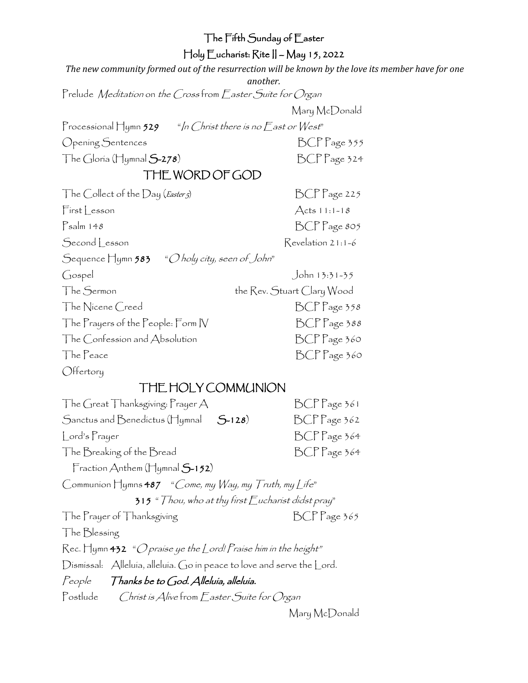| The Fifth Sunday of Easter                                                                         |                            |  |
|----------------------------------------------------------------------------------------------------|----------------------------|--|
| Holy Eucharist: Rite    – May 15, 2022                                                             |                            |  |
| The new community formed out of the resurrection will be known by the love its member have for one |                            |  |
| another.<br>Prelude Meditation on the Crossfrom Easter Suite for Organ                             |                            |  |
|                                                                                                    |                            |  |
| Mary McDonald                                                                                      |                            |  |
| Processional Hymn 529 $^{\circ}$ /n Christ there is no East or West <sup>"</sup>                   |                            |  |
| Opening Sentences                                                                                  | BCP Page 355               |  |
| The Gloría (Hymnal $S$ -278)                                                                       | BCP Page 324               |  |
| THE WORD OF GOD                                                                                    |                            |  |
| The Collect of the Day (Easter 5)                                                                  | BCP Page 225               |  |
| First Lesson                                                                                       | $Acts 11:1-18$             |  |
| $P_{\text{salm 148}}$                                                                              | BCP Page 805               |  |
| Second Lesson                                                                                      | Revelation 21:1-6          |  |
| Sequence Hymn 583 <i>"O holy city, seen of John</i> "                                              |                            |  |
| Gospel                                                                                             | John 13:31-35              |  |
| The Sermon                                                                                         | the Rev. Stuart Clary Wood |  |
| The Nicene Creed                                                                                   | BCP Page 358               |  |
| The Prayers of the People: Form IV                                                                 | BCP Page 388               |  |
| The Confession and Absolution                                                                      | BCP Page 360               |  |
| The Peace                                                                                          | BCP Page 360               |  |
| Offertory                                                                                          |                            |  |
| THE HOLY COMMUNION                                                                                 |                            |  |
| The Great Thanksgiving: $Prayer A$                                                                 | BCP Page 361               |  |
| $5 - 128$<br>Sanctus and Benedictus (Hymnal                                                        | BCP Page 362               |  |
| Lord's Prayer                                                                                      | BCPPage 364                |  |
| The Breaking of the Bread                                                                          | BCPPage 364                |  |
| Fraction Anthem ( $\Box$ ymnal $S$ -152)                                                           |                            |  |
| Communion Hymns $487$ "Come, my Way, my Truth, my Life"                                            |                            |  |
| $315$ " $Thou$ , who at thy first $\bar{E}$ ucharist didst pray"                                   |                            |  |
| The Prayer of Thanksgiving                                                                         | $BCP$ age 365              |  |
| The Blessing                                                                                       |                            |  |
| $\mathsf{Rec}.$ Hymn 432 "O praise ye the Lord! Praise him in the height"                          |                            |  |
| Dismissal: Alleluia, alleluia. Go in peace to love and serve the Lord.                             |                            |  |
| People Thanks be to God. Alleluía, alleluía.                                                       |                            |  |
| Postlude Christ is Alive from Easter Suite for Organ                                               |                            |  |
|                                                                                                    | Mary McDonald              |  |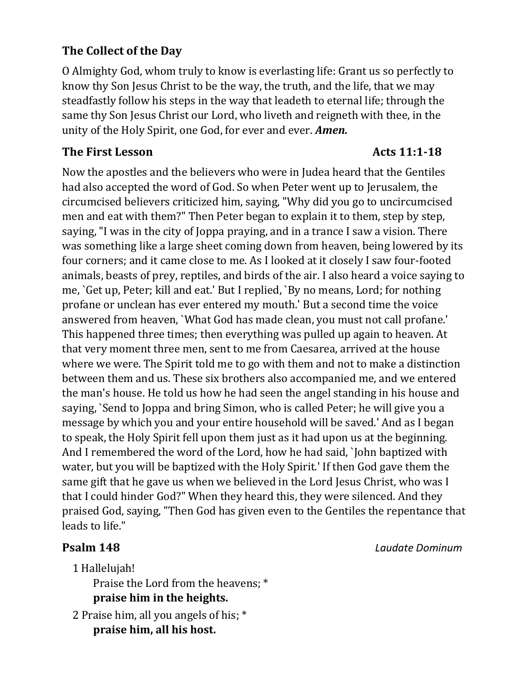## **The Collect of the Day**

O Almighty God, whom truly to know is everlasting life: Grant us so perfectly to know thy Son Jesus Christ to be the way, the truth, and the life, that we may steadfastly follow his steps in the way that leadeth to eternal life; through the same thy Son Jesus Christ our Lord, who liveth and reigneth with thee, in the unity of the Holy Spirit, one God, for ever and ever. *Amen.*

### **The First Lesson Acts 11:1-18**

Now the apostles and the believers who were in Judea heard that the Gentiles had also accepted the word of God. So when Peter went up to Jerusalem, the circumcised believers criticized him, saying, "Why did you go to uncircumcised men and eat with them?" Then Peter began to explain it to them, step by step, saying, "I was in the city of Joppa praying, and in a trance I saw a vision. There was something like a large sheet coming down from heaven, being lowered by its four corners; and it came close to me. As I looked at it closely I saw four-footed animals, beasts of prey, reptiles, and birds of the air. I also heard a voice saying to me, `Get up, Peter; kill and eat.' But I replied, `By no means, Lord; for nothing profane or unclean has ever entered my mouth.' But a second time the voice answered from heaven, `What God has made clean, you must not call profane.' This happened three times; then everything was pulled up again to heaven. At that very moment three men, sent to me from Caesarea, arrived at the house where we were. The Spirit told me to go with them and not to make a distinction between them and us. These six brothers also accompanied me, and we entered the man's house. He told us how he had seen the angel standing in his house and saying, `Send to Joppa and bring Simon, who is called Peter; he will give you a message by which you and your entire household will be saved.' And as I began to speak, the Holy Spirit fell upon them just as it had upon us at the beginning. And I remembered the word of the Lord, how he had said, `John baptized with water, but you will be baptized with the Holy Spirit.' If then God gave them the same gift that he gave us when we believed in the Lord Jesus Christ, who was I that I could hinder God?" When they heard this, they were silenced. And they praised God, saying, "Then God has given even to the Gentiles the repentance that leads to life."

1 Hallelujah!

Praise the Lord from the heavens; \* **praise him in the heights.**

2 Praise him, all you angels of his; \* **praise him, all his host.**

**Psalm 148** *Laudate Dominum*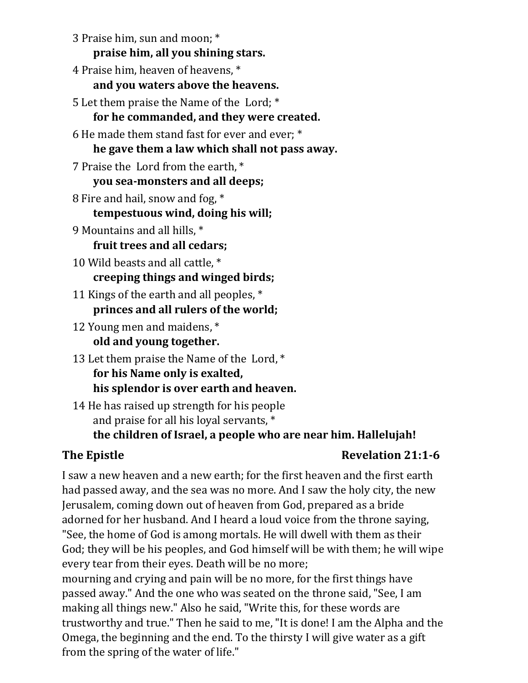3 Praise him, sun and moon; \* **praise him, all you shining stars.**

4 Praise him, heaven of heavens, \* **and you waters above the heavens.**

5 Let them praise the Name of the Lord; \* **for he commanded, and they were created.**

6 He made them stand fast for ever and ever; \* **he gave them a law which shall not pass away.**

7 Praise the Lord from the earth, \* **you sea-monsters and all deeps;**

- 8 Fire and hail, snow and fog, \* **tempestuous wind, doing his will;**
- 9 Mountains and all hills, \* **fruit trees and all cedars;**
- 10 Wild beasts and all cattle, \* **creeping things and winged birds;**
- 11 Kings of the earth and all peoples, \* **princes and all rulers of the world;**
- 12 Young men and maidens, \* **old and young together.**
- 13 Let them praise the Name of the Lord, \* **for his Name only is exalted, his splendor is over earth and heaven.**
- 14 He has raised up strength for his people and praise for all his loyal servants, \* **the children of Israel, a people who are near him. Hallelujah!**

# **The Epistle Revelation 21:1-6**

I saw a new heaven and a new earth; for the first heaven and the first earth had passed away, and the sea was no more. And I saw the holy city, the new Jerusalem, coming down out of heaven from God, prepared as a bride adorned for her husband. And I heard a loud voice from the throne saying, "See, the home of God is among mortals. He will dwell with them as their God; they will be his peoples, and God himself will be with them; he will wipe every tear from their eyes. Death will be no more;

mourning and crying and pain will be no more, for the first things have passed away." And the one who was seated on the throne said, "See, I am making all things new." Also he said, "Write this, for these words are trustworthy and true." Then he said to me, "It is done! I am the Alpha and the Omega, the beginning and the end. To the thirsty I will give water as a gift from the spring of the water of life."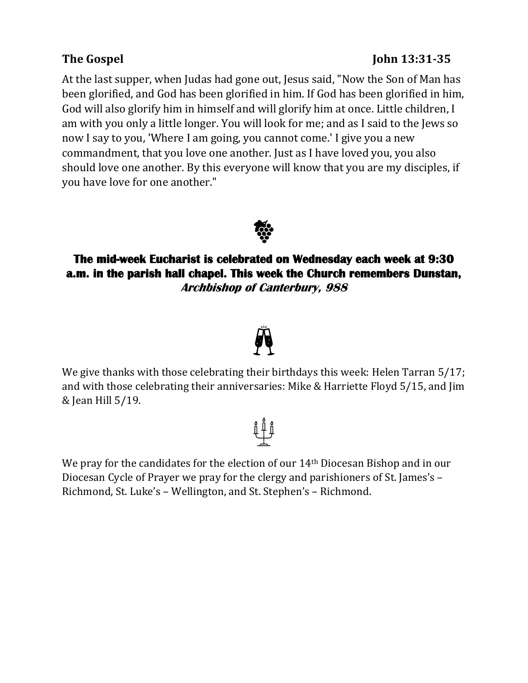### At the last supper, when Judas had gone out, Jesus said, "Now the Son of Man has been glorified, and God has been glorified in him. If God has been glorified in him, God will also glorify him in himself and will glorify him at once. Little children, I am with you only a little longer. You will look for me; and as I said to the Jews so now I say to you, 'Where I am going, you cannot come.' I give you a new commandment, that you love one another. Just as I have loved you, you also should love one another. By this everyone will know that you are my disciples, if you have love for one another."



### **The mid-week Eucharist is celebrated on Wednesday each week at 9:30 a.m. in the parish hall chapel. This week the Church remembers Dunstan, Archbishop of Canterbury, 988**



We give thanks with those celebrating their birthdays this week: Helen Tarran 5/17; and with those celebrating their anniversaries: Mike & Harriette Floyd 5/15, and Jim & Jean Hill 5/19.

We pray for the candidates for the election of our 14th Diocesan Bishop and in our Diocesan Cycle of Prayer we pray for the clergy and parishioners of St. James's – Richmond, St. Luke's – Wellington, and St. Stephen's – Richmond.



## **The Gospel John 13:31-35**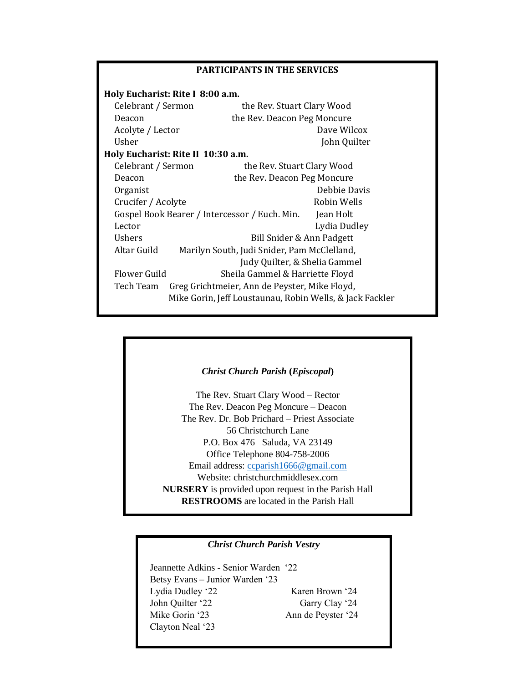| <b>PARTICIPANTS IN THE SERVICES</b>                        |                             |              |
|------------------------------------------------------------|-----------------------------|--------------|
| Holy Eucharist: Rite I 8:00 a.m.                           |                             |              |
| Celebrant / Sermon                                         | the Rev. Stuart Clary Wood  |              |
| Deacon                                                     | the Rev. Deacon Peg Moncure |              |
| Acolyte / Lector                                           |                             | Dave Wilcox  |
| Usher                                                      |                             | John Quilter |
| Holy Eucharist: Rite II 10:30 a.m.                         |                             |              |
| Celebrant / Sermon                                         | the Rev. Stuart Clary Wood  |              |
| Deacon                                                     | the Rev. Deacon Peg Moncure |              |
| Organist                                                   |                             | Debbie Davis |
| Crucifer / Acolyte                                         |                             | Robin Wells  |
| Gospel Book Bearer / Intercessor / Euch. Min.<br>Jean Holt |                             |              |
| Lector                                                     |                             | Lydia Dudley |
| <b>Ushers</b>                                              | Bill Snider & Ann Padgett   |              |
| Altar Guild<br>Marilyn South, Judi Snider, Pam McClelland, |                             |              |
| Judy Quilter, & Shelia Gammel                              |                             |              |
| Flower Guild<br>Sheila Gammel & Harriette Floyd            |                             |              |
| Tech Team<br>Greg Grichtmeier, Ann de Peyster, Mike Floyd, |                             |              |
| Mike Gorin, Jeff Loustaunau, Robin Wells, & Jack Fackler   |                             |              |



### *Christ Church Parish Vestry*

 Jeannette Adkins - Senior Warden '22 Betsy Evans – Junior Warden '23 Lydia Dudley '22 Karen Brown '24 John Quilter '22 Garry Clay '24 Mike Gorin '23 Ann de Peyster '24 Clayton Neal '23